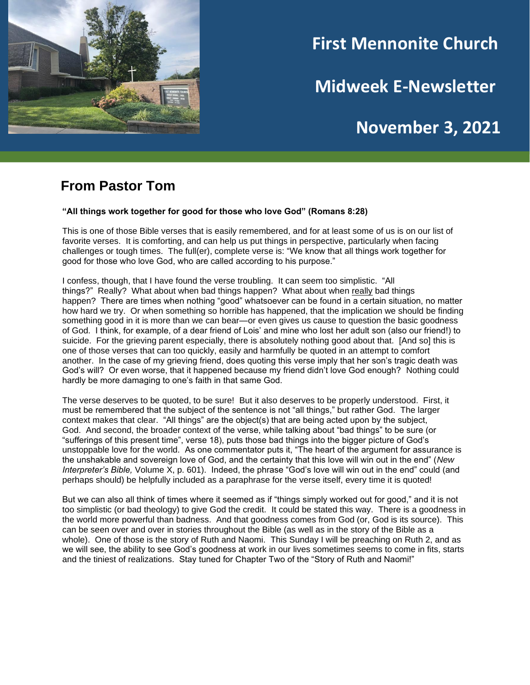

# **First Mennonite Church**

**Midweek E-Newsletter**

# **November 3, 2021**

#### **From Pastor Tom**

#### **"All things work together for good for those who love God" (Romans 8:28)**

This is one of those Bible verses that is easily remembered, and for at least some of us is on our list of favorite verses. It is comforting, and can help us put things in perspective, particularly when facing challenges or tough times. The full(er), complete verse is: "We know that all things work together for good for those who love God, who are called according to his purpose."

I confess, though, that I have found the verse troubling. It can seem too simplistic. "All things?" Really? What about when bad things happen? What about when really bad things happen? There are times when nothing "good" whatsoever can be found in a certain situation, no matter how hard we try. Or when something so horrible has happened, that the implication we should be finding something good in it is more than we can bear—or even gives us cause to question the basic goodness of God. I think, for example, of a dear friend of Lois' and mine who lost her adult son (also our friend!) to suicide. For the grieving parent especially, there is absolutely nothing good about that. [And so] this is one of those verses that can too quickly, easily and harmfully be quoted in an attempt to comfort another. In the case of my grieving friend, does quoting this verse imply that her son's tragic death was God's will? Or even worse, that it happened because my friend didn't love God enough? Nothing could hardly be more damaging to one's faith in that same God.

The verse deserves to be quoted, to be sure! But it also deserves to be properly understood. First, it must be remembered that the subject of the sentence is not "all things," but rather God. The larger context makes that clear. "All things" are the object(s) that are being acted upon by the subject, God. And second, the broader context of the verse, while talking about "bad things" to be sure (or "sufferings of this present time", verse 18), puts those bad things into the bigger picture of God's unstoppable love for the world. As one commentator puts it, "The heart of the argument for assurance is the unshakable and sovereign love of God, and the certainty that this love will win out in the end" (*New Interpreter's Bible,* Volume X, p. 601). Indeed, the phrase "God's love will win out in the end" could (and perhaps should) be helpfully included as a paraphrase for the verse itself, every time it is quoted!

But we can also all think of times where it seemed as if "things simply worked out for good," and it is not too simplistic (or bad theology) to give God the credit. It could be stated this way. There is a goodness in the world more powerful than badness. And that goodness comes from God (or, God is its source). This can be seen over and over in stories throughout the Bible (as well as in the story of the Bible as a whole). One of those is the story of Ruth and Naomi. This Sunday I will be preaching on Ruth 2, and as we will see, the ability to see God's goodness at work in our lives sometimes seems to come in fits, starts and the tiniest of realizations. Stay tuned for Chapter Two of the "Story of Ruth and Naomi!"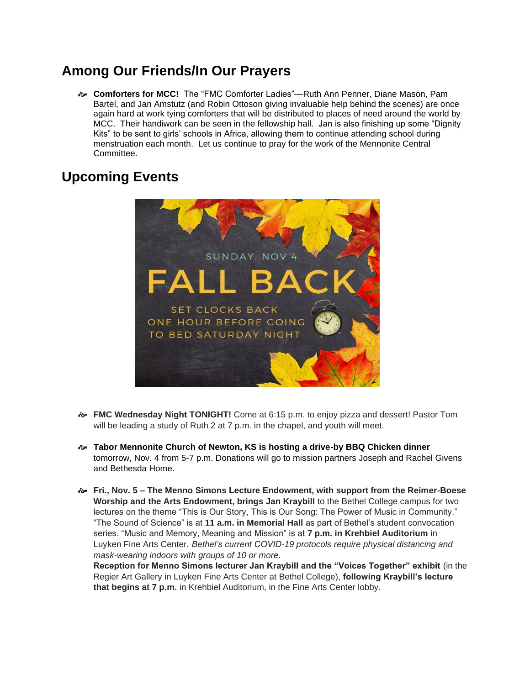## **Among Our Friends/In Our Prayers**

 **Comforters for MCC!** The "FMC Comforter Ladies"—Ruth Ann Penner, Diane Mason, Pam Bartel, and Jan Amstutz (and Robin Ottoson giving invaluable help behind the scenes) are once again hard at work tying comforters that will be distributed to places of need around the world by MCC. Their handiwork can be seen in the fellowship hall. Jan is also finishing up some "Dignity Kits" to be sent to girls' schools in Africa, allowing them to continue attending school during menstruation each month. Let us continue to pray for the work of the Mennonite Central Committee.

## **Upcoming Events**



- **FMC Wednesday Night TONIGHT!** Come at 6:15 p.m. to enjoy pizza and dessert! Pastor Tom will be leading a study of Ruth 2 at 7 p.m. in the chapel, and youth will meet.
- **Tabor Mennonite Church of Newton, KS is hosting a drive-by BBQ Chicken dinner** tomorrow, Nov. 4 from 5-7 p.m. Donations will go to mission partners Joseph and Rachel Givens and Bethesda Home.
- **Fri., Nov. 5 – The Menno Simons Lecture Endowment, with support from the Reimer-Boese Worship and the Arts Endowment, brings Jan Kraybill** to the Bethel College campus for two lectures on the theme "This is Our Story, This is Our Song: The Power of Music in Community." "The Sound of Science" is at **11 a.m. in Memorial Hall** as part of Bethel's student convocation series. "Music and Memory, Meaning and Mission" is at **7 p.m. in Krehbiel Auditorium** in Luyken Fine Arts Center. *Bethel's current COVID-19 protocols require physical distancing and mask-wearing indoors with groups of 10 or more.*

**Reception for Menno Simons lecturer Jan Kraybill and the "Voices Together" exhibit** (in the Regier Art Gallery in Luyken Fine Arts Center at Bethel College), **following Kraybill's lecture that begins at 7 p.m.** in Krehbiel Auditorium, in the Fine Arts Center lobby.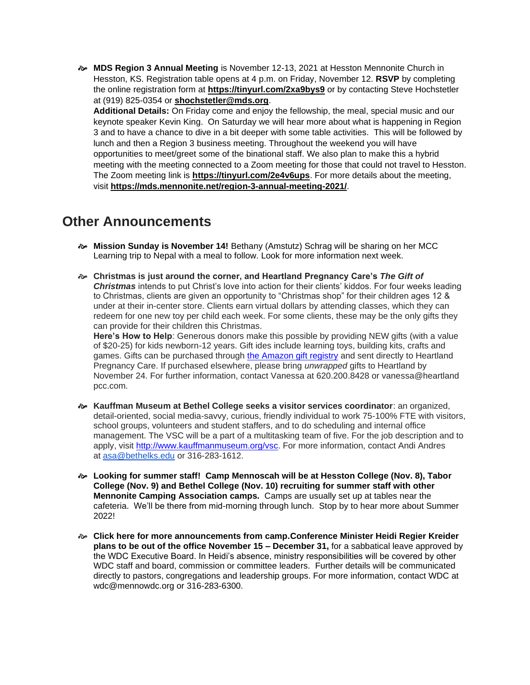**MDS Region 3 Annual Meeting** is November 12-13, 2021 at Hesston Mennonite Church in Hesston, KS. Registration table opens at 4 p.m. on Friday, November 12. **RSVP** by completing the online registration form at **[https://tinyurl.com/2xa9bys9](https://r20.rs6.net/tn.jsp?f=001Ies4oAkwWVxR74V5CLBH_XPMFRLbzqAsWvd0bwg5DgCtaaQDvzhCbiQT95p1F7j9GYo2IN4nWB2xCw2cSjZX9284UGmEMGfMO7cptqs6RRPW3HBXYtBDMbm-CmL6RN-VUWd_LuraOB69PWl3ke9JrmmqyLIxDBJk&c=29Vx49HcS6VuMzZw4j-md_lNu8D2Mr-R2eArpl_a0b7ZTra0aqme6Q==&ch=pxRrqVHYaf1QsLaDEMAdO8iFoPOtj4tE5NPsz1oJYn-gTd0JyCuH9A==)** or by contacting Steve Hochstetler at (919) 825-0354 or **[shochstetler@mds.org](mailto:shochstetler@mds.org)**.

**Additional Details:** On Friday come and enjoy the fellowship, the meal, special music and our keynote speaker Kevin King. On Saturday we will hear more about what is happening in Region 3 and to have a chance to dive in a bit deeper with some table activities. This will be followed by lunch and then a Region 3 business meeting. Throughout the weekend you will have opportunities to meet/greet some of the binational staff. We also plan to make this a hybrid meeting with the meeting connected to a Zoom meeting for those that could not travel to Hesston. The Zoom meeting link is **[https://tinyurl.com/2e4v6ups](https://r20.rs6.net/tn.jsp?f=001Ies4oAkwWVxR74V5CLBH_XPMFRLbzqAsWvd0bwg5DgCtaaQDvzhCbrxGV8ZRwY8YzkTLL-TcbNiBlomapL5SPoROehfeZUbyL_qtxLF0m39pzGvH44T4vJ1qulFQDOF4hSTg3_CUM6Qs9-LptO5xFw==&c=29Vx49HcS6VuMzZw4j-md_lNu8D2Mr-R2eArpl_a0b7ZTra0aqme6Q==&ch=pxRrqVHYaf1QsLaDEMAdO8iFoPOtj4tE5NPsz1oJYn-gTd0JyCuH9A==)**. For more details about the meeting, visit **[https://mds.mennonite.net/region-3-annual-meeting-2021/](https://r20.rs6.net/tn.jsp?f=001Ies4oAkwWVxR74V5CLBH_XPMFRLbzqAsWvd0bwg5DgCtaaQDvzhCbiQT95p1F7j9Oq79dCzndKanIPLehQzZyYCrjhvN283KsaBdtkcJK7h1vfvNLniuoJaKVR_GhtU8a9SFFAK0pvkZ8pTUDAyxbiO4vCbTur7qdDuN5oAU0m4UtrfTH3PRc6NmXaT-zuA-&c=29Vx49HcS6VuMzZw4j-md_lNu8D2Mr-R2eArpl_a0b7ZTra0aqme6Q==&ch=pxRrqVHYaf1QsLaDEMAdO8iFoPOtj4tE5NPsz1oJYn-gTd0JyCuH9A==)**.

#### **Other Announcements**

- **Mission Sunday is November 14!** Bethany (Amstutz) Schrag will be sharing on her MCC Learning trip to Nepal with a meal to follow. Look for more information next week.
- **Christmas is just around the corner, and Heartland Pregnancy Care's** *The Gift of Christmas* intends to put Christ's love into action for their clients' kiddos. For four weeks leading to Christmas, clients are given an opportunity to "Christmas shop" for their children ages 12 & under at their in-center store. Clients earn virtual dollars by attending classes, which they can redeem for one new toy per child each week. For some clients, these may be the only gifts they can provide for their children this Christmas.

**Here's How to Help**: Generous donors make this possible by providing NEW gifts (with a value of \$20-25) for kids newborn-12 years. Gift ides include learning toys, building kits, crafts and games. Gifts can be purchased through [the Amazon gift registry](https://smile.amazon.com/registries/holiday/2Q1TGC2VUIDLP/guest-view) and sent directly to Heartland Pregnancy Care. If purchased elsewhere, please bring *unwrapped* gifts to Heartland by November 24. For further information, contact Vanessa at 620.200.8428 or vanessa@heartland pcc.com.

- **Kauffman Museum at Bethel College seeks a visitor services coordinator**: an organized, detail-oriented, social media-savvy, curious, friendly individual to work 75-100% FTE with visitors, school groups, volunteers and student staffers, and to do scheduling and internal office management. The VSC will be a part of a multitasking team of five. For the job description and to apply, visit [http://www.kauffmanmuseum.org/vsc.](http://www.kauffmanmuseum.org/vsc) For more information, contact Andi Andres at [asa@bethelks.edu](mailto:asa@bethelks.edu) or 316-283-1612.
- **Looking for summer staff! Camp Mennoscah will be at Hesston College (Nov. 8), Tabor College (Nov. 9) and Bethel College (Nov. 10) recruiting for summer staff with other Mennonite Camping Association camps.** Camps are usually set up at tables near the cafeteria. We'll be there from mid-morning through lunch. Stop by to hear more about Summer 2022!
- **Click here for more announcements from camp.Conference Minister Heidi Regier Kreider plans to be out of the office November 15 – December 31,** for a sabbatical leave approved by the WDC Executive Board. In Heidi's absence, ministry responsibilities will be covered by other WDC staff and board, commission or committee leaders. Further details will be communicated directly to pastors, congregations and leadership groups. For more information, contact WDC at wdc@mennowdc.org or 316-283-6300.